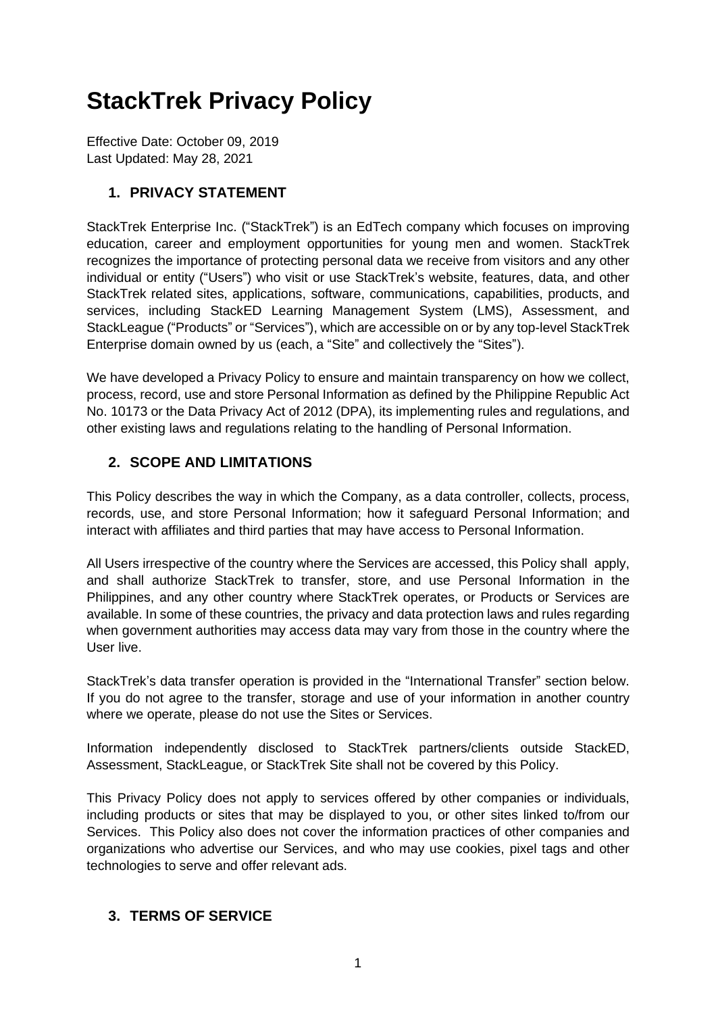# **StackTrek Privacy Policy**

Effective Date: October 09, 2019 Last Updated: May 28, 2021

## **1. PRIVACY STATEMENT**

StackTrek Enterprise Inc. ("StackTrek") is an EdTech company which focuses on improving education, career and employment opportunities for young men and women. StackTrek recognizes the importance of protecting personal data we receive from visitors and any other individual or entity ("Users") who visit or use StackTrek's website, features, data, and other StackTrek related sites, applications, software, communications, capabilities, products, and services, including StackED Learning Management System (LMS), Assessment, and StackLeague ("Products" or "Services"), which are accessible on or by any top-level StackTrek Enterprise domain owned by us (each, a "Site" and collectively the "Sites").

We have developed a Privacy Policy to ensure and maintain transparency on how we collect, process, record, use and store Personal Information as defined by the Philippine Republic Act No. 10173 or the Data Privacy Act of 2012 (DPA), its implementing rules and regulations, and other existing laws and regulations relating to the handling of Personal Information.

## **2. SCOPE AND LIMITATIONS**

This Policy describes the way in which the Company, as a data controller, collects, process, records, use, and store Personal Information; how it safeguard Personal Information; and interact with affiliates and third parties that may have access to Personal Information.

All Users irrespective of the country where the Services are accessed, this Policy shall apply, and shall authorize StackTrek to transfer, store, and use Personal Information in the Philippines, and any other country where StackTrek operates, or Products or Services are available. In some of these countries, the privacy and data protection laws and rules regarding when government authorities may access data may vary from those in the country where the User live.

StackTrek's data transfer operation is provided in the "International Transfer" section below. If you do not agree to the transfer, storage and use of your information in another country where we operate, please do not use the Sites or Services.

Information independently disclosed to StackTrek partners/clients outside StackED, Assessment, StackLeague, or StackTrek Site shall not be covered by this Policy.

This Privacy Policy does not apply to services offered by other companies or individuals, including products or sites that may be displayed to you, or other sites linked to/from our Services. This Policy also does not cover the information practices of other companies and organizations who advertise our Services, and who may use cookies, pixel tags and other technologies to serve and offer relevant ads.

## **3. TERMS OF SERVICE**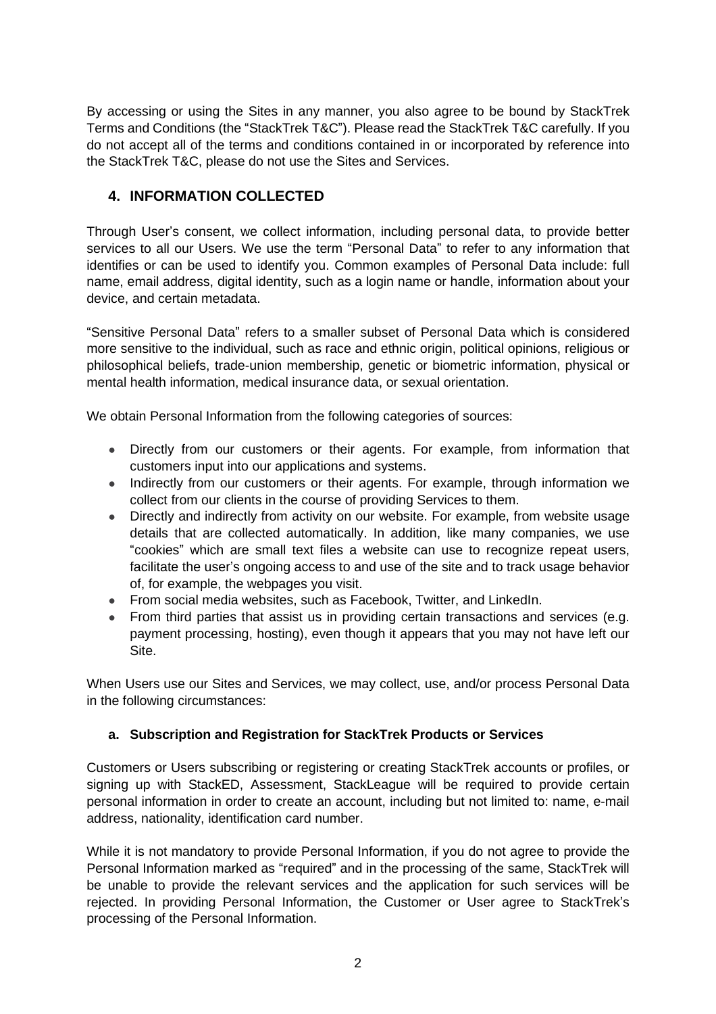By accessing or using the Sites in any manner, you also agree to be bound by StackTrek Terms and Conditions (the "StackTrek T&C"). Please read the StackTrek T&C carefully. If you do not accept all of the terms and conditions contained in or incorporated by reference into the StackTrek T&C, please do not use the Sites and Services.

## **4. INFORMATION COLLECTED**

Through User's consent, we collect information, including personal data, to provide better services to all our Users. We use the term "Personal Data" to refer to any information that identifies or can be used to identify you. Common examples of Personal Data include: full name, email address, digital identity, such as a login name or handle, information about your device, and certain metadata.

"Sensitive Personal Data" refers to a smaller subset of Personal Data which is considered more sensitive to the individual, such as race and ethnic origin, political opinions, religious or philosophical beliefs, trade-union membership, genetic or biometric information, physical or mental health information, medical insurance data, or sexual orientation.

We obtain Personal Information from the following categories of sources:

- Directly from our customers or their agents. For example, from information that customers input into our applications and systems.
- Indirectly from our customers or their agents. For example, through information we collect from our clients in the course of providing Services to them.
- Directly and indirectly from activity on our website. For example, from website usage details that are collected automatically. In addition, like many companies, we use "cookies" which are small text files a website can use to recognize repeat users, facilitate the user's ongoing access to and use of the site and to track usage behavior of, for example, the webpages you visit.
- From social media websites, such as Facebook, Twitter, and LinkedIn.
- From third parties that assist us in providing certain transactions and services (e.g. payment processing, hosting), even though it appears that you may not have left our Site.

When Users use our Sites and Services, we may collect, use, and/or process Personal Data in the following circumstances:

## **a. Subscription and Registration for StackTrek Products or Services**

Customers or Users subscribing or registering or creating StackTrek accounts or profiles, or signing up with StackED, Assessment, StackLeague will be required to provide certain personal information in order to create an account, including but not limited to: name, e-mail address, nationality, identification card number.

While it is not mandatory to provide Personal Information, if you do not agree to provide the Personal Information marked as "required" and in the processing of the same, StackTrek will be unable to provide the relevant services and the application for such services will be rejected. In providing Personal Information, the Customer or User agree to StackTrek's processing of the Personal Information.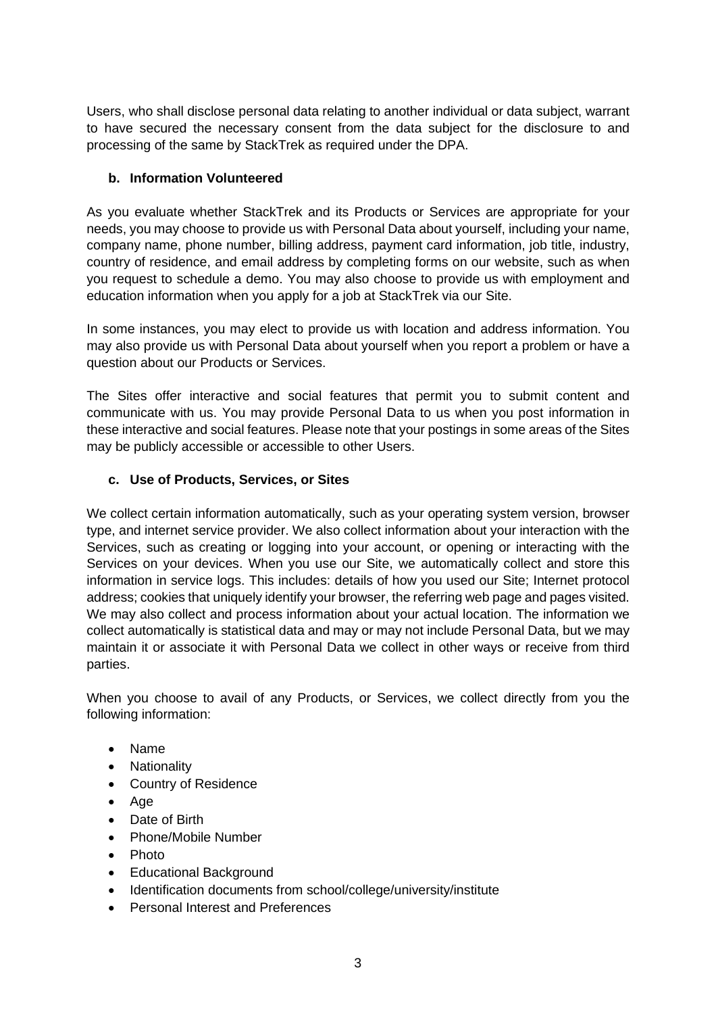Users, who shall disclose personal data relating to another individual or data subject, warrant to have secured the necessary consent from the data subject for the disclosure to and processing of the same by StackTrek as required under the DPA.

#### **b. Information Volunteered**

As you evaluate whether StackTrek and its Products or Services are appropriate for your needs, you may choose to provide us with Personal Data about yourself, including your name, company name, phone number, billing address, payment card information, job title, industry, country of residence, and email address by completing forms on our website, such as when you request to schedule a demo. You may also choose to provide us with employment and education information when you apply for a job at StackTrek via our Site.

In some instances, you may elect to provide us with location and address information. You may also provide us with Personal Data about yourself when you report a problem or have a question about our Products or Services.

The Sites offer interactive and social features that permit you to submit content and communicate with us. You may provide Personal Data to us when you post information in these interactive and social features. Please note that your postings in some areas of the Sites may be publicly accessible or accessible to other Users.

#### **c. Use of Products, Services, or Sites**

We collect certain information automatically, such as your operating system version, browser type, and internet service provider. We also collect information about your interaction with the Services, such as creating or logging into your account, or opening or interacting with the Services on your devices. When you use our Site, we automatically collect and store this information in service logs. This includes: details of how you used our Site; Internet protocol address; cookies that uniquely identify your browser, the referring web page and pages visited. We may also collect and process information about your actual location. The information we collect automatically is statistical data and may or may not include Personal Data, but we may maintain it or associate it with Personal Data we collect in other ways or receive from third parties.

When you choose to avail of any Products, or Services, we collect directly from you the following information:

- Name
- Nationality
- Country of Residence
- Age
- Date of Birth
- Phone/Mobile Number
- Photo
- Educational Background
- Identification documents from school/college/university/institute
- Personal Interest and Preferences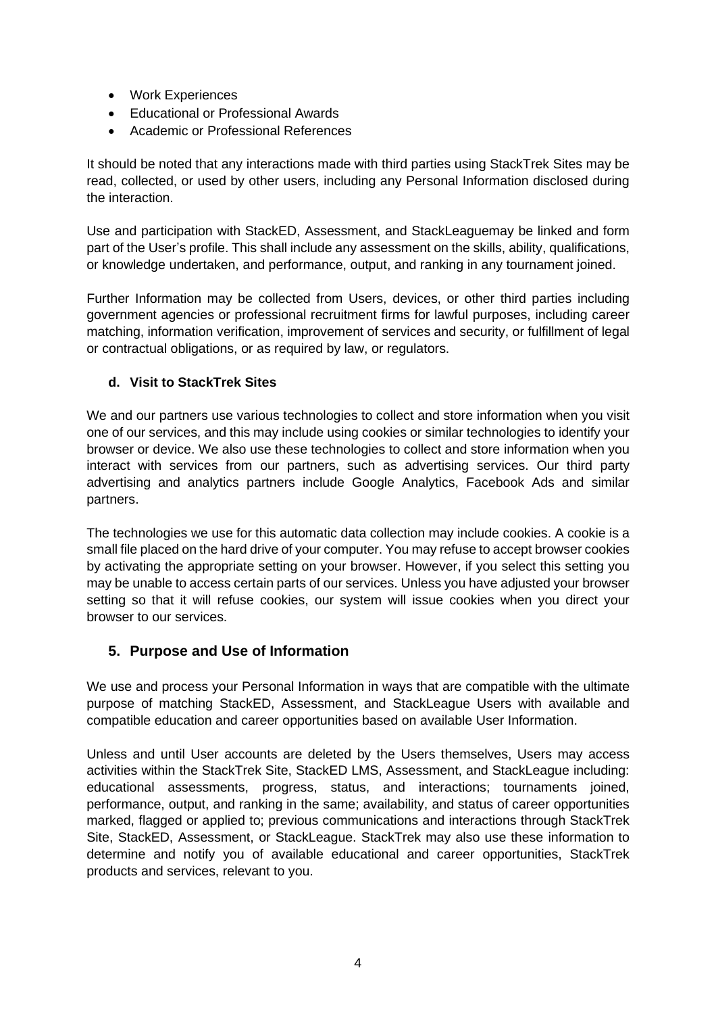- Work Experiences
- Educational or Professional Awards
- Academic or Professional References

It should be noted that any interactions made with third parties using StackTrek Sites may be read, collected, or used by other users, including any Personal Information disclosed during the interaction.

Use and participation with StackED, Assessment, and StackLeaguemay be linked and form part of the User's profile. This shall include any assessment on the skills, ability, qualifications, or knowledge undertaken, and performance, output, and ranking in any tournament joined.

Further Information may be collected from Users, devices, or other third parties including government agencies or professional recruitment firms for lawful purposes, including career matching, information verification, improvement of services and security, or fulfillment of legal or contractual obligations, or as required by law, or regulators.

#### **d. Visit to StackTrek Sites**

We and our partners use various technologies to collect and store information when you visit one of our services, and this may include using cookies or similar technologies to identify your browser or device. We also use these technologies to collect and store information when you interact with services from our partners, such as advertising services. Our third party advertising and analytics partners include Google Analytics, Facebook Ads and similar partners.

The technologies we use for this automatic data collection may include cookies. A cookie is a small file placed on the hard drive of your computer. You may refuse to accept browser cookies by activating the appropriate setting on your browser. However, if you select this setting you may be unable to access certain parts of our services. Unless you have adjusted your browser setting so that it will refuse cookies, our system will issue cookies when you direct your browser to our services.

## **5. Purpose and Use of Information**

We use and process your Personal Information in ways that are compatible with the ultimate purpose of matching StackED, Assessment, and StackLeague Users with available and compatible education and career opportunities based on available User Information.

Unless and until User accounts are deleted by the Users themselves, Users may access activities within the StackTrek Site, StackED LMS, Assessment, and StackLeague including: educational assessments, progress, status, and interactions; tournaments joined, performance, output, and ranking in the same; availability, and status of career opportunities marked, flagged or applied to; previous communications and interactions through StackTrek Site, StackED, Assessment, or StackLeague. StackTrek may also use these information to determine and notify you of available educational and career opportunities, StackTrek products and services, relevant to you.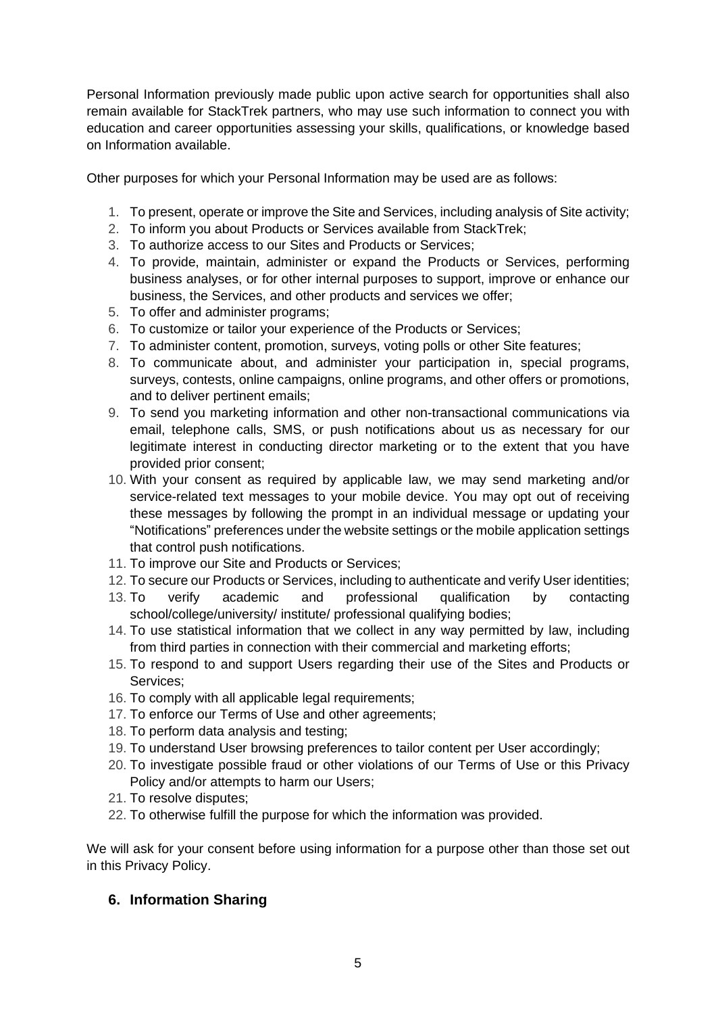Personal Information previously made public upon active search for opportunities shall also remain available for StackTrek partners, who may use such information to connect you with education and career opportunities assessing your skills, qualifications, or knowledge based on Information available.

Other purposes for which your Personal Information may be used are as follows:

- 1. To present, operate or improve the Site and Services, including analysis of Site activity;
- 2. To inform you about Products or Services available from StackTrek;
- 3. To authorize access to our Sites and Products or Services;
- 4. To provide, maintain, administer or expand the Products or Services, performing business analyses, or for other internal purposes to support, improve or enhance our business, the Services, and other products and services we offer;
- 5. To offer and administer programs;
- 6. To customize or tailor your experience of the Products or Services;
- 7. To administer content, promotion, surveys, voting polls or other Site features;
- 8. To communicate about, and administer your participation in, special programs, surveys, contests, online campaigns, online programs, and other offers or promotions, and to deliver pertinent emails;
- 9. To send you marketing information and other non-transactional communications via email, telephone calls, SMS, or push notifications about us as necessary for our legitimate interest in conducting director marketing or to the extent that you have provided prior consent;
- 10. With your consent as required by applicable law, we may send marketing and/or service-related text messages to your mobile device. You may opt out of receiving these messages by following the prompt in an individual message or updating your "Notifications" preferences under the website settings or the mobile application settings that control push notifications.
- 11. To improve our Site and Products or Services;
- 12. To secure our Products or Services, including to authenticate and verify User identities;
- 13. To verify academic and professional qualification by contacting school/college/university/ institute/ professional qualifying bodies;
- 14. To use statistical information that we collect in any way permitted by law, including from third parties in connection with their commercial and marketing efforts;
- 15. To respond to and support Users regarding their use of the Sites and Products or Services;
- 16. To comply with all applicable legal requirements;
- 17. To enforce our Terms of Use and other agreements;
- 18. To perform data analysis and testing;
- 19. To understand User browsing preferences to tailor content per User accordingly;
- 20. To investigate possible fraud or other violations of our Terms of Use or this Privacy Policy and/or attempts to harm our Users;
- 21. To resolve disputes;
- 22. To otherwise fulfill the purpose for which the information was provided.

We will ask for your consent before using information for a purpose other than those set out in this Privacy Policy.

## **6. Information Sharing**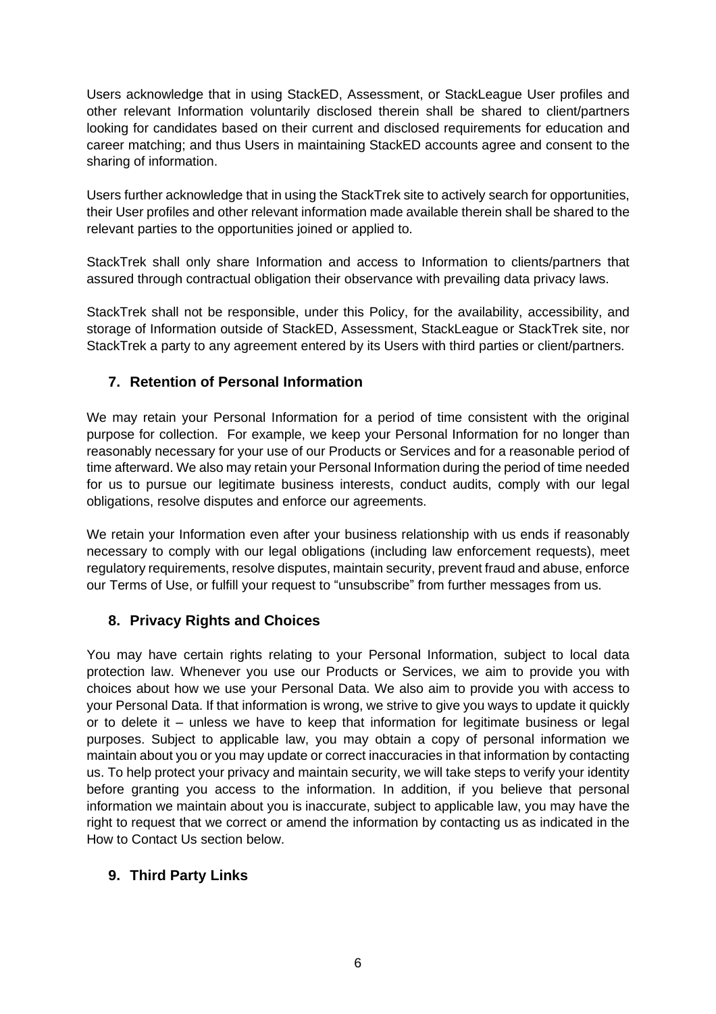Users acknowledge that in using StackED, Assessment, or StackLeague User profiles and other relevant Information voluntarily disclosed therein shall be shared to client/partners looking for candidates based on their current and disclosed requirements for education and career matching; and thus Users in maintaining StackED accounts agree and consent to the sharing of information.

Users further acknowledge that in using the StackTrek site to actively search for opportunities, their User profiles and other relevant information made available therein shall be shared to the relevant parties to the opportunities joined or applied to.

StackTrek shall only share Information and access to Information to clients/partners that assured through contractual obligation their observance with prevailing data privacy laws.

StackTrek shall not be responsible, under this Policy, for the availability, accessibility, and storage of Information outside of StackED, Assessment, StackLeague or StackTrek site, nor StackTrek a party to any agreement entered by its Users with third parties or client/partners.

## **7. Retention of Personal Information**

We may retain your Personal Information for a period of time consistent with the original purpose for collection. For example, we keep your Personal Information for no longer than reasonably necessary for your use of our Products or Services and for a reasonable period of time afterward. We also may retain your Personal Information during the period of time needed for us to pursue our legitimate business interests, conduct audits, comply with our legal obligations, resolve disputes and enforce our agreements.

We retain your Information even after your business relationship with us ends if reasonably necessary to comply with our legal obligations (including law enforcement requests), meet regulatory requirements, resolve disputes, maintain security, prevent fraud and abuse, enforce our Terms of Use, or fulfill your request to "unsubscribe" from further messages from us.

## **8. Privacy Rights and Choices**

You may have certain rights relating to your Personal Information, subject to local data protection law. Whenever you use our Products or Services, we aim to provide you with choices about how we use your Personal Data. We also aim to provide you with access to your Personal Data. If that information is wrong, we strive to give you ways to update it quickly or to delete it – unless we have to keep that information for legitimate business or legal purposes. Subject to applicable law, you may obtain a copy of personal information we maintain about you or you may update or correct inaccuracies in that information by contacting us. To help protect your privacy and maintain security, we will take steps to verify your identity before granting you access to the information. In addition, if you believe that personal information we maintain about you is inaccurate, subject to applicable law, you may have the right to request that we correct or amend the information by contacting us as indicated in the How to Contact Us section below.

## **9. Third Party Links**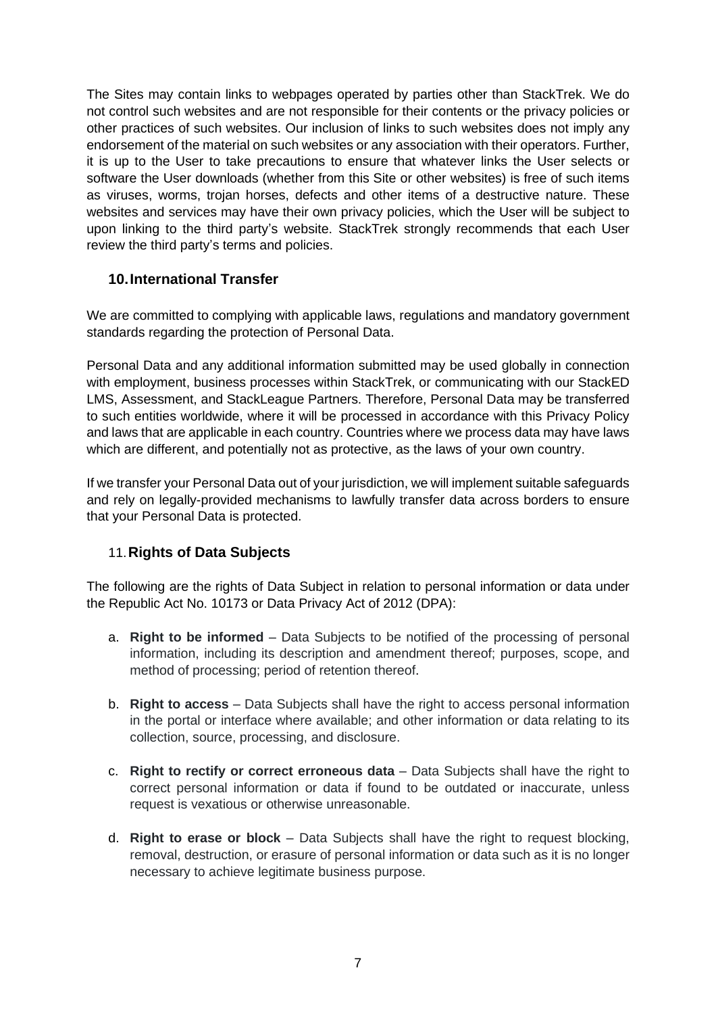The Sites may contain links to webpages operated by parties other than StackTrek. We do not control such websites and are not responsible for their contents or the privacy policies or other practices of such websites. Our inclusion of links to such websites does not imply any endorsement of the material on such websites or any association with their operators. Further, it is up to the User to take precautions to ensure that whatever links the User selects or software the User downloads (whether from this Site or other websites) is free of such items as viruses, worms, trojan horses, defects and other items of a destructive nature. These websites and services may have their own privacy policies, which the User will be subject to upon linking to the third party's website. StackTrek strongly recommends that each User review the third party's terms and policies.

#### **10.International Transfer**

We are committed to complying with applicable laws, regulations and mandatory government standards regarding the protection of Personal Data.

Personal Data and any additional information submitted may be used globally in connection with employment, business processes within StackTrek, or communicating with our StackED LMS, Assessment, and StackLeague Partners. Therefore, Personal Data may be transferred to such entities worldwide, where it will be processed in accordance with this Privacy Policy and laws that are applicable in each country. Countries where we process data may have laws which are different, and potentially not as protective, as the laws of your own country.

If we transfer your Personal Data out of your jurisdiction, we will implement suitable safeguards and rely on legally-provided mechanisms to lawfully transfer data across borders to ensure that your Personal Data is protected.

## 11.**Rights of Data Subjects**

The following are the rights of Data Subject in relation to personal information or data under the Republic Act No. 10173 or Data Privacy Act of 2012 (DPA):

- a. **Right to be informed** Data Subjects to be notified of the processing of personal information, including its description and amendment thereof; purposes, scope, and method of processing; period of retention thereof.
- b. **Right to access** Data Subjects shall have the right to access personal information in the portal or interface where available; and other information or data relating to its collection, source, processing, and disclosure.
- c. **Right to rectify or correct erroneous data** Data Subjects shall have the right to correct personal information or data if found to be outdated or inaccurate, unless request is vexatious or otherwise unreasonable.
- d. **Right to erase or block** Data Subjects shall have the right to request blocking, removal, destruction, or erasure of personal information or data such as it is no longer necessary to achieve legitimate business purpose.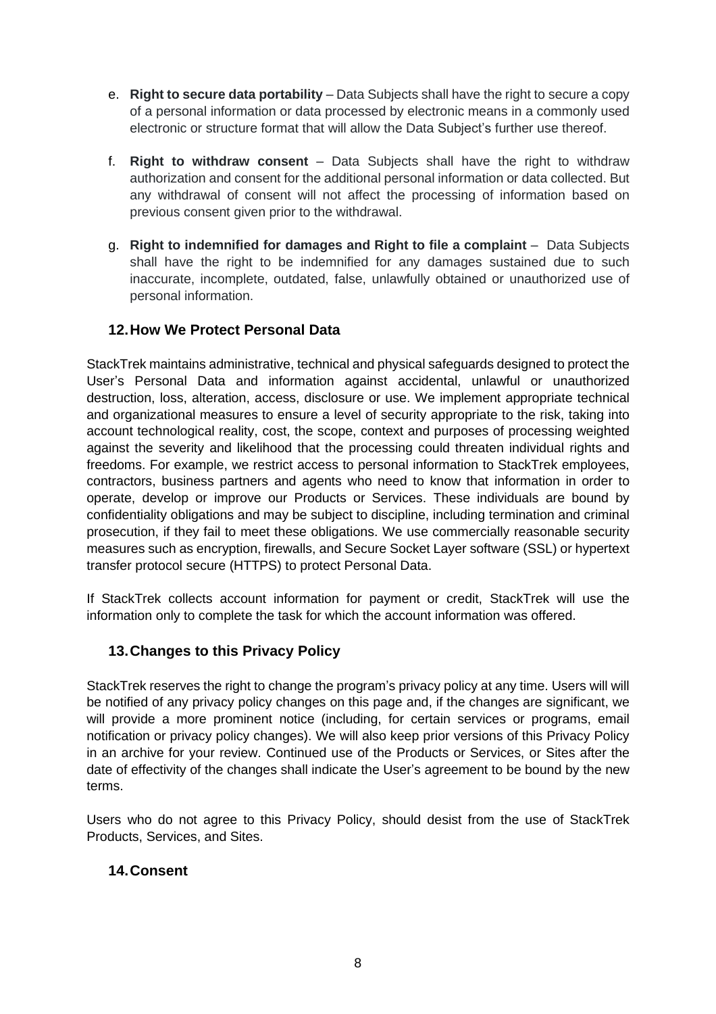- e. **Right to secure data portability** Data Subjects shall have the right to secure a copy of a personal information or data processed by electronic means in a commonly used electronic or structure format that will allow the Data Subject's further use thereof.
- f. **Right to withdraw consent** Data Subjects shall have the right to withdraw authorization and consent for the additional personal information or data collected. But any withdrawal of consent will not affect the processing of information based on previous consent given prior to the withdrawal.
- g. **Right to indemnified for damages and Right to file a complaint** Data Subjects shall have the right to be indemnified for any damages sustained due to such inaccurate, incomplete, outdated, false, unlawfully obtained or unauthorized use of personal information.

## **12.How We Protect Personal Data**

StackTrek maintains administrative, technical and physical safeguards designed to protect the User's Personal Data and information against accidental, unlawful or unauthorized destruction, loss, alteration, access, disclosure or use. We implement appropriate technical and organizational measures to ensure a level of security appropriate to the risk, taking into account technological reality, cost, the scope, context and purposes of processing weighted against the severity and likelihood that the processing could threaten individual rights and freedoms. For example, we restrict access to personal information to StackTrek employees, contractors, business partners and agents who need to know that information in order to operate, develop or improve our Products or Services. These individuals are bound by confidentiality obligations and may be subject to discipline, including termination and criminal prosecution, if they fail to meet these obligations. We use commercially reasonable security measures such as encryption, firewalls, and Secure Socket Layer software (SSL) or hypertext transfer protocol secure (HTTPS) to protect Personal Data.

If StackTrek collects account information for payment or credit, StackTrek will use the information only to complete the task for which the account information was offered.

#### **13.Changes to this Privacy Policy**

StackTrek reserves the right to change the program's privacy policy at any time. Users will will be notified of any privacy policy changes on this page and, if the changes are significant, we will provide a more prominent notice (including, for certain services or programs, email notification or privacy policy changes). We will also keep prior versions of this Privacy Policy in an archive for your review. Continued use of the Products or Services, or Sites after the date of effectivity of the changes shall indicate the User's agreement to be bound by the new terms.

Users who do not agree to this Privacy Policy, should desist from the use of StackTrek Products, Services, and Sites.

#### **14.Consent**